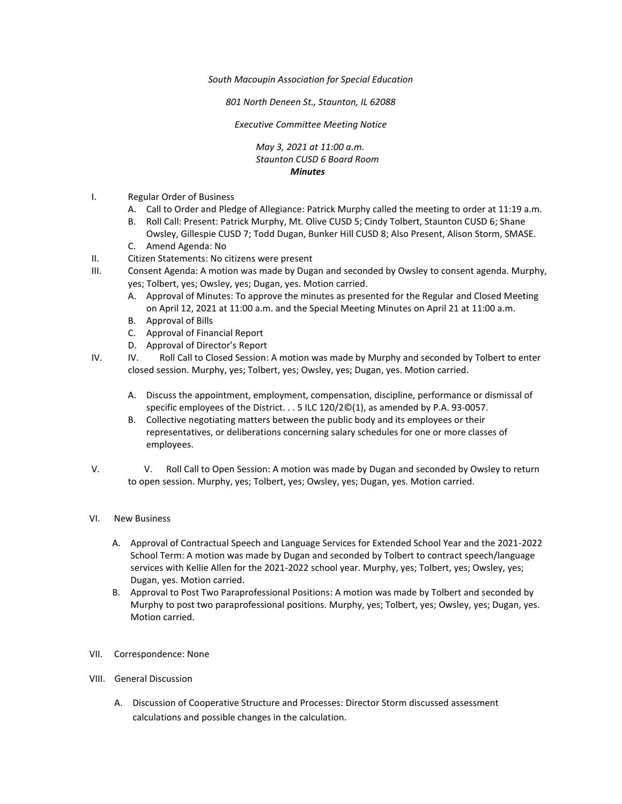*South Macoupin Association for Special Education* 

*801 North Deneen St., Staunton, IL 62088* 

*Executive Committee Meeting Notice*

*May 3, 2021 at 11:00 a.m. Staunton CUSD 6 Board Room Minutes*

- I. Regular Order of Business
	- A. Call to Order and Pledge of Allegiance: Patrick Murphy called the meeting to order at 11:19 a.m.
	- B. Roll Call: Present: Patrick Murphy, Mt. Olive CUSD 5; Cindy Tolbert, Staunton CUSD 6; Shane Owsley, Gillespie CUSD 7; Todd Dugan, Bunker Hill CUSD 8; Also Present, Alison Storm, SMASE.
	- C. Amend Agenda: No
- II. Citizen Statements: No citizens were present
- III. Consent Agenda: A motion was made by Dugan and seconded by Owsley to consent agenda. Murphy, yes; Tolbert, yes; Owsley, yes; Dugan, yes. Motion carried.
	- A. Approval of Minutes: To approve the minutes as presented for the Regular and Closed Meeting on April 12, 2021 at 11:00 a.m. and the Special Meeting Minutes on April 21 at 11:00 a.m.
	- B. Approval of Bills
	- C. Approval of Financial Report
	- D. Approval of Director's Report
- IV. IV. Roll Call to Closed Session: A motion was made by Murphy and seconded by Tolbert to enter closed session. Murphy, yes; Tolbert, yes; Owsley, yes; Dugan, yes. Motion carried.
	- A. Discuss the appointment, employment, compensation, discipline, performance or dismissal of specific employees of the District. . . 5 ILC 120/2©(1), as amended by P.A. 93-0057.
	- B. Collective negotiating matters between the public body and its employees or their representatives, or deliberations concerning salary schedules for one or more classes of employees.
- V. V. Roll Call to Open Session: A motion was made by Dugan and seconded by Owsley to return to open session. Murphy, yes; Tolbert, yes; Owsley, yes; Dugan, yes. Motion carried.

## VI. New Business

- A. Approval of Contractual Speech and Language Services for Extended School Year and the 2021-2022 School Term: A motion was made by Dugan and seconded by Tolbert to contract speech/language services with Kellie Allen for the 2021-2022 school year. Murphy, yes; Tolbert, yes; Owsley, yes; Dugan, yes. Motion carried.
- B. Approval to Post Two Paraprofessional Positions: A motion was made by Tolbert and seconded by Murphy to post two paraprofessional positions. Murphy, yes; Tolbert, yes; Owsley, yes; Dugan, yes. Motion carried.
- VII. Correspondence: None
- VIII. General Discussion
	- A. Discussion of Cooperative Structure and Processes: Director Storm discussed assessment calculations and possible changes in the calculation.